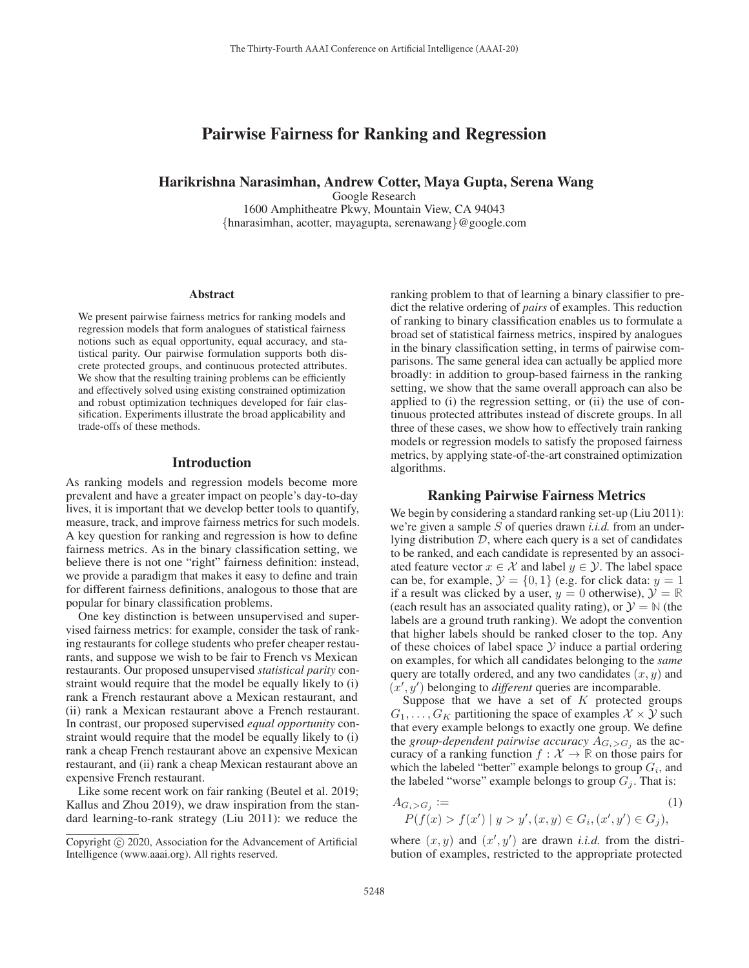# Pairwise Fairness for Ranking and Regression

# Harikrishna Narasimhan, Andrew Cotter, Maya Gupta, Serena Wang

Google Research

1600 Amphitheatre Pkwy, Mountain View, CA 94043 {hnarasimhan, acotter, mayagupta, serenawang}@google.com

#### **Abstract**

We present pairwise fairness metrics for ranking models and regression models that form analogues of statistical fairness notions such as equal opportunity, equal accuracy, and statistical parity. Our pairwise formulation supports both discrete protected groups, and continuous protected attributes. We show that the resulting training problems can be efficiently and effectively solved using existing constrained optimization and robust optimization techniques developed for fair classification. Experiments illustrate the broad applicability and trade-offs of these methods.

#### Introduction

As ranking models and regression models become more prevalent and have a greater impact on people's day-to-day lives, it is important that we develop better tools to quantify, measure, track, and improve fairness metrics for such models. A key question for ranking and regression is how to define fairness metrics. As in the binary classification setting, we believe there is not one "right" fairness definition: instead, we provide a paradigm that makes it easy to define and train for different fairness definitions, analogous to those that are popular for binary classification problems.

One key distinction is between unsupervised and supervised fairness metrics: for example, consider the task of ranking restaurants for college students who prefer cheaper restaurants, and suppose we wish to be fair to French vs Mexican restaurants. Our proposed unsupervised *statistical parity* constraint would require that the model be equally likely to (i) rank a French restaurant above a Mexican restaurant, and (ii) rank a Mexican restaurant above a French restaurant. In contrast, our proposed supervised *equal opportunity* constraint would require that the model be equally likely to (i) rank a cheap French restaurant above an expensive Mexican restaurant, and (ii) rank a cheap Mexican restaurant above an expensive French restaurant.

Like some recent work on fair ranking (Beutel et al. 2019; Kallus and Zhou 2019), we draw inspiration from the standard learning-to-rank strategy (Liu 2011): we reduce the

ranking problem to that of learning a binary classifier to predict the relative ordering of *pairs* of examples. This reduction of ranking to binary classification enables us to formulate a broad set of statistical fairness metrics, inspired by analogues in the binary classification setting, in terms of pairwise comparisons. The same general idea can actually be applied more broadly: in addition to group-based fairness in the ranking setting, we show that the same overall approach can also be applied to (i) the regression setting, or (ii) the use of continuous protected attributes instead of discrete groups. In all three of these cases, we show how to effectively train ranking models or regression models to satisfy the proposed fairness metrics, by applying state-of-the-art constrained optimization algorithms.

# Ranking Pairwise Fairness Metrics

We begin by considering a standard ranking set-up (Liu 2011): we're given a sample S of queries drawn *i.i.d.* from an underlying distribution  $D$ , where each query is a set of candidates to be ranked, and each candidate is represented by an associated feature vector  $x \in \mathcal{X}$  and label  $y \in \mathcal{Y}$ . The label space can be, for example,  $\mathcal{Y} = \{0, 1\}$  (e.g. for click data:  $y = 1$ ) if a result was clicked by a user,  $y = 0$  otherwise),  $\mathcal{Y} = \mathbb{R}$ (each result has an associated quality rating), or  $\mathcal{Y} = \mathbb{N}$  (the labels are a ground truth ranking). We adopt the convention that higher labels should be ranked closer to the top. Any of these choices of label space  $Y$  induce a partial ordering on examples, for which all candidates belonging to the *same* query are totally ordered, and any two candidates  $(x, y)$  and  $(x', y')$  belonging to *different* queries are incomparable.

Suppose that we have a set of  $K$  protected groups  $G_1, \ldots, G_K$  partitioning the space of examples  $\mathcal{X} \times \mathcal{Y}$  such that every example belongs to exactly one group. We define the *group-dependent pairwise accuracy*  $A_{G_i > G_j}$  as the accuracy of a ranking function  $f : \mathcal{X} \to \mathbb{R}$  on those pairs for which the labeled "better" example belongs to group  $G_i$ , and the labeled "worse" example belongs to group  $G_i$ . That is:

$$
A_{G_i > G_j} := \tag{1}
$$
  
 
$$
P(f(x) > f(x') | y > y', (x, y) \in G_i, (x', y') \in G_j),
$$

where  $(x, y)$  and  $(x', y')$  are drawn *i.i.d.* from the distribution of examples, restricted to the appropriate protected

Copyright  $\odot$  2020, Association for the Advancement of Artificial Intelligence (www.aaai.org). All rights reserved.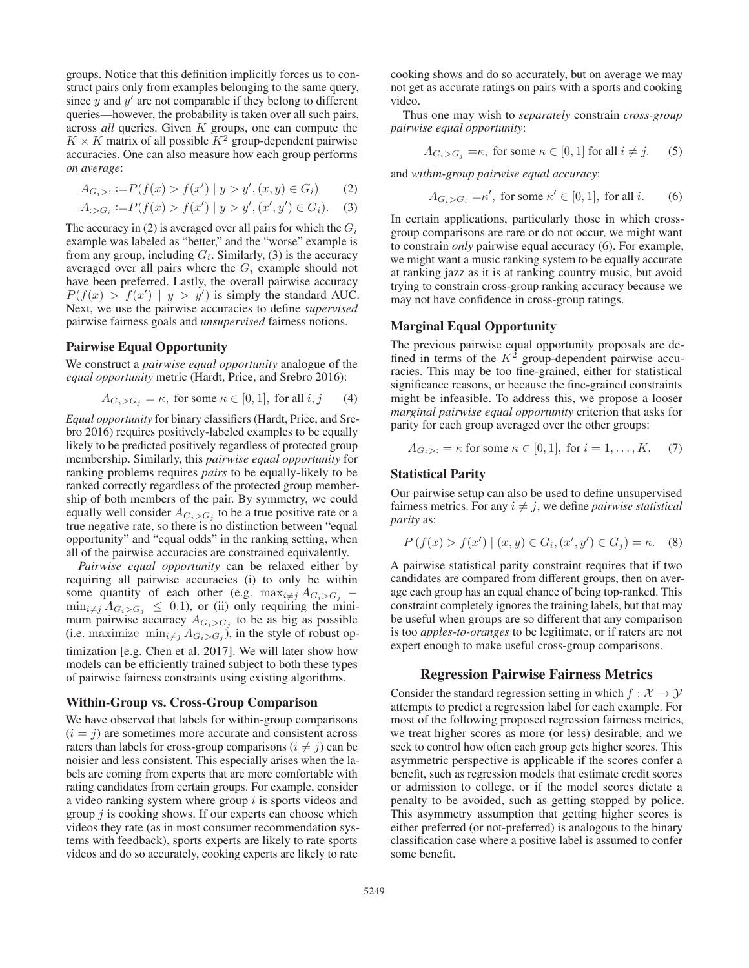groups. Notice that this definition implicitly forces us to construct pairs only from examples belonging to the same query, since  $y$  and  $y'$  are not comparable if they belong to different queries—however, the probability is taken over all such pairs, across *all* queries. Given K groups, one can compute the  $K \times K$  matrix of all possible  $K^2$  group-dependent pairwise accuracies. One can also measure how each group performs *on average*:

$$
A_{G_i>} := P(f(x) > f(x') | y > y', (x, y) \in G_i)
$$
 (2)

$$
A_{:>G_i} := P(f(x) > f(x') | y > y', (x', y') \in G_i). \tag{3}
$$

The accuracy in (2) is averaged over all pairs for which the  $G_i$ example was labeled as "better," and the "worse" example is from any group, including  $G_i$ . Similarly, (3) is the accuracy averaged over all pairs where the  $G_i$  example should not have been preferred. Lastly, the overall pairwise accuracy  $P(f(x) > f(x') | y > y')$  is simply the standard AUC. Next, we use the pairwise accuracies to define *supervised* pairwise fairness goals and *unsupervised* fairness notions.

#### Pairwise Equal Opportunity

We construct a *pairwise equal opportunity* analogue of the *equal opportunity* metric (Hardt, Price, and Srebro 2016):

$$
A_{G_i > G_j} = \kappa, \text{ for some } \kappa \in [0, 1], \text{ for all } i, j \qquad (4)
$$

*Equal opportunity* for binary classifiers (Hardt, Price, and Srebro 2016) requires positively-labeled examples to be equally likely to be predicted positively regardless of protected group membership. Similarly, this *pairwise equal opportunity* for ranking problems requires *pairs* to be equally-likely to be ranked correctly regardless of the protected group membership of both members of the pair. By symmetry, we could equally well consider  $A_{G_i > G_j}$  to be a true positive rate or a true negative rate, so there is no distinction between "equal opportunity" and "equal odds" in the ranking setting, when all of the pairwise accuracies are constrained equivalently.

*Pairwise equal opportunity* can be relaxed either by requiring all pairwise accuracies (i) to only be within some quantity of each other (e.g.  $\max_{i \neq j} A_{G_i > G_j}$  −  $\min_{i \neq j} A_{G_i > G_j} \leq 0.1$ , or (ii) only requiring the minimum pairwise accuracy  $A_{G_i > G_j}$  to be as big as possible (i.e. maximize  $\min_{i \neq j} A_{G_i > G_j}$ ), in the style of robust optimization [e.g. Chen et al. 2017]. We will later show how models can be efficiently trained subject to both these types of pairwise fairness constraints using existing algorithms.

#### Within-Group vs. Cross-Group Comparison

We have observed that labels for within-group comparisons  $(i = j)$  are sometimes more accurate and consistent across raters than labels for cross-group comparisons  $(i \neq j)$  can be noisier and less consistent. This especially arises when the labels are coming from experts that are more comfortable with rating candidates from certain groups. For example, consider a video ranking system where group  $i$  is sports videos and group  $j$  is cooking shows. If our experts can choose which videos they rate (as in most consumer recommendation systems with feedback), sports experts are likely to rate sports videos and do so accurately, cooking experts are likely to rate

cooking shows and do so accurately, but on average we may not get as accurate ratings on pairs with a sports and cooking video.

Thus one may wish to *separately* constrain *cross-group pairwise equal opportunity*:

$$
A_{G_i > G_j} = \kappa, \text{ for some } \kappa \in [0, 1] \text{ for all } i \neq j. \tag{5}
$$

and *within-group pairwise equal accuracy*:

$$
A_{G_i > G_i} = \kappa', \text{ for some } \kappa' \in [0, 1], \text{ for all } i. \tag{6}
$$

In certain applications, particularly those in which crossgroup comparisons are rare or do not occur, we might want to constrain *only* pairwise equal accuracy (6). For example, we might want a music ranking system to be equally accurate at ranking jazz as it is at ranking country music, but avoid trying to constrain cross-group ranking accuracy because we may not have confidence in cross-group ratings.

#### Marginal Equal Opportunity

The previous pairwise equal opportunity proposals are defined in terms of the  $K^2$  group-dependent pairwise accuracies. This may be too fine-grained, either for statistical significance reasons, or because the fine-grained constraints might be infeasible. To address this, we propose a looser *marginal pairwise equal opportunity* criterion that asks for parity for each group averaged over the other groups:

$$
A_{G_i>} = \kappa \text{ for some } \kappa \in [0,1], \text{ for } i = 1,\ldots,K. \tag{7}
$$

#### Statistical Parity

Our pairwise setup can also be used to define unsupervised fairness metrics. For any  $i \neq j$ , we define *pairwise statistical parity* as:

$$
P(f(x) > f(x') | (x, y) \in G_i, (x', y') \in G_j) = \kappa.
$$
 (8)

A pairwise statistical parity constraint requires that if two candidates are compared from different groups, then on average each group has an equal chance of being top-ranked. This constraint completely ignores the training labels, but that may be useful when groups are so different that any comparison is too *apples-to-oranges* to be legitimate, or if raters are not expert enough to make useful cross-group comparisons.

#### Regression Pairwise Fairness Metrics

Consider the standard regression setting in which  $f : \mathcal{X} \to \mathcal{Y}$ attempts to predict a regression label for each example. For most of the following proposed regression fairness metrics, we treat higher scores as more (or less) desirable, and we seek to control how often each group gets higher scores. This asymmetric perspective is applicable if the scores confer a benefit, such as regression models that estimate credit scores or admission to college, or if the model scores dictate a penalty to be avoided, such as getting stopped by police. This asymmetry assumption that getting higher scores is either preferred (or not-preferred) is analogous to the binary classification case where a positive label is assumed to confer some benefit.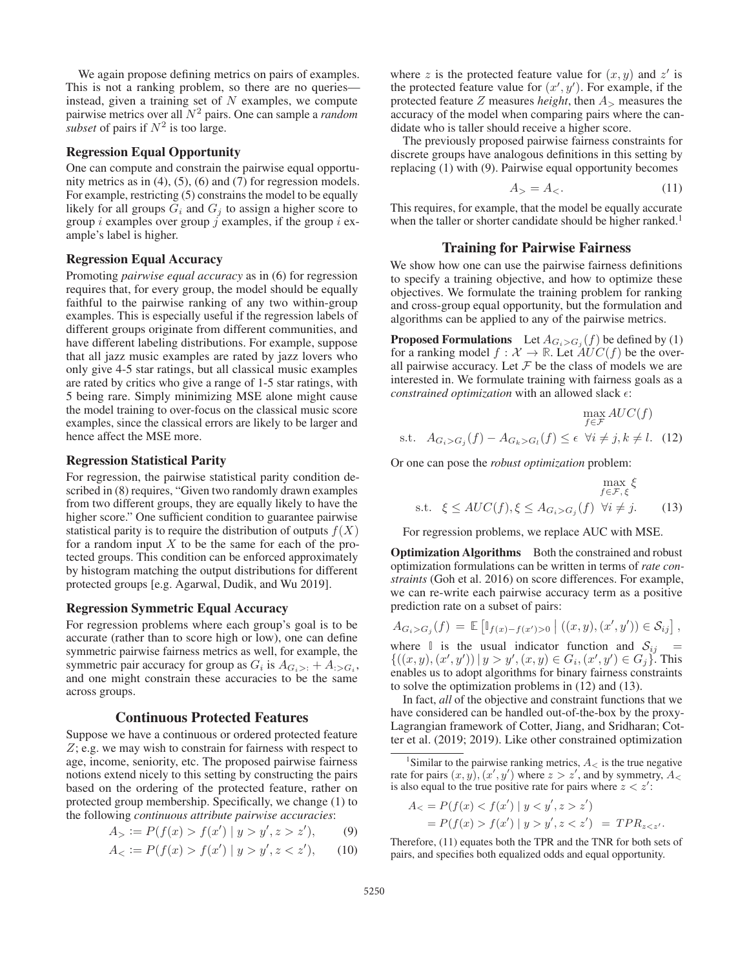We again propose defining metrics on pairs of examples. This is not a ranking problem, so there are no queries instead, given a training set of  $N$  examples, we compute pairwise metrics over all N<sup>2</sup> pairs. One can sample a *random subset* of pairs if  $N^2$  is too large.

# Regression Equal Opportunity

One can compute and constrain the pairwise equal opportunity metrics as in (4), (5), (6) and (7) for regression models. For example, restricting (5) constrains the model to be equally likely for all groups  $G_i$  and  $G_j$  to assign a higher score to group *i* examples over group *j* examples, if the group *i* example's label is higher.

#### Regression Equal Accuracy

Promoting *pairwise equal accuracy* as in (6) for regression requires that, for every group, the model should be equally faithful to the pairwise ranking of any two within-group examples. This is especially useful if the regression labels of different groups originate from different communities, and have different labeling distributions. For example, suppose that all jazz music examples are rated by jazz lovers who only give 4-5 star ratings, but all classical music examples are rated by critics who give a range of 1-5 star ratings, with 5 being rare. Simply minimizing MSE alone might cause the model training to over-focus on the classical music score examples, since the classical errors are likely to be larger and hence affect the MSE more.

#### Regression Statistical Parity

For regression, the pairwise statistical parity condition described in (8) requires, "Given two randomly drawn examples from two different groups, they are equally likely to have the higher score." One sufficient condition to guarantee pairwise statistical parity is to require the distribution of outputs  $f(X)$ for a random input  $X$  to be the same for each of the protected groups. This condition can be enforced approximately by histogram matching the output distributions for different protected groups [e.g. Agarwal, Dudik, and Wu 2019].

#### Regression Symmetric Equal Accuracy

For regression problems where each group's goal is to be accurate (rather than to score high or low), one can define symmetric pairwise fairness metrics as well, for example, the symmetric pair accuracy for group as  $G_i$  is  $A_{G_i>}$ : +  $A_{:>G_i}$ , and one might constrain these accuracies to be the same across groups.

# Continuous Protected Features

Suppose we have a continuous or ordered protected feature Z; e.g. we may wish to constrain for fairness with respect to age, income, seniority, etc. The proposed pairwise fairness notions extend nicely to this setting by constructing the pairs based on the ordering of the protected feature, rather on protected group membership. Specifically, we change (1) to the following *continuous attribute pairwise accuracies*:

$$
A_{>} := P(f(x) > f(x') | y > y', z > z'),
$$
 (9)

$$
A_{<} := P(f(x) > f(x') \mid y > y', z < z'), \tag{10}
$$

where z is the protected feature value for  $(x, y)$  and  $z'$  is the protected feature value for  $(x', y')$ . For example, if the protected feature  $Z$  measures *height*, then  $A$ <sub>></sub> measures the accuracy of the model when comparing pairs where the candidate who is taller should receive a higher score.

The previously proposed pairwise fairness constraints for discrete groups have analogous definitions in this setting by replacing (1) with (9). Pairwise equal opportunity becomes

$$
A_{>} = A_{<}. \tag{11}
$$

 $477 \times 6$ 

This requires, for example, that the model be equally accurate when the taller or shorter candidate should be higher ranked.<sup>1</sup>

# Training for Pairwise Fairness

We show how one can use the pairwise fairness definitions to specify a training objective, and how to optimize these objectives. We formulate the training problem for ranking and cross-group equal opportunity, but the formulation and algorithms can be applied to any of the pairwise metrics.

**Proposed Formulations** Let  $A_{G_i > G_j}(f)$  be defined by (1) for a ranking model  $f : \mathcal{X} \to \mathbb{R}$ . Let  $\mathcal{A}UC(f)$  be the overall pairwise accuracy. Let  $\mathcal F$  be the class of models we are interested in. We formulate training with fairness goals as a *constrained optimization* with an allowed slack  $\epsilon$ :

$$
\max_{f \in \mathcal{F}} AUC(f)
$$
s.t.  $A_{G_i > G_j}(f) - A_{G_k > G_l}(f) \le \epsilon \ \forall i \neq j, k \neq l.$  (12)

Or one can pose the *robust optimization* problem:

$$
\max_{f \in \mathcal{F}, \xi} \xi
$$
  
s.t.  $\xi \le AUC(f), \xi \le A_{G_i > G_j}(f) \ \forall i \neq j.$  (13)

For regression problems, we replace AUC with MSE.

Optimization Algorithms Both the constrained and robust optimization formulations can be written in terms of *rate constraints* (Goh et al. 2016) on score differences. For example, we can re-write each pairwise accuracy term as a positive prediction rate on a subset of pairs:

$$
A_{G_i > G_j}(f) = \mathbb{E} \left[ \mathbb{I}_{f(x) - f(x') > 0} \, \middle| \, ((x, y), (x', y')) \in \mathcal{S}_{ij} \right],
$$
  
where  $\mathbb{I}$  is the usual indicator function and  $\mathcal{S}_{ij} = \{ ((x, y), (x', y')) \mid y > y', (x, y) \in G_i, (x', y') \in G_i \}$ . This

 ${((x,y),(x'))}$  $, y'$ ))  $|y>y'$  $, (x, y) \in G_i, (x', y') \in G_j$ . This  $, y'$ enables us to adopt algorithms for binary fairness constraints to solve the optimization problems in (12) and (13).

In fact, *all* of the objective and constraint functions that we have considered can be handled out-of-the-box by the proxy-Lagrangian framework of Cotter, Jiang, and Sridharan; Cotter et al. (2019; 2019). Like other constrained optimization

$$
A_{<} = P(f(x) < f(x') \mid y < y', z > z')
$$
\n
$$
= P(f(x) > f(x') \mid y > y', z < z') = TPR_{z < z'}.
$$

Therefore, (11) equates both the TPR and the TNR for both sets of pairs, and specifies both equalized odds and equal opportunity.

<sup>&</sup>lt;sup>1</sup>Similar to the pairwise ranking metrics,  $A_{\leq}$  is the true negative rate for pairs  $(x, y), (x', y')$  where  $z > z'$ , and by symmetry,  $A_{\leq z}$ is also equal to the true positive rate for pairs where  $z < z'$ :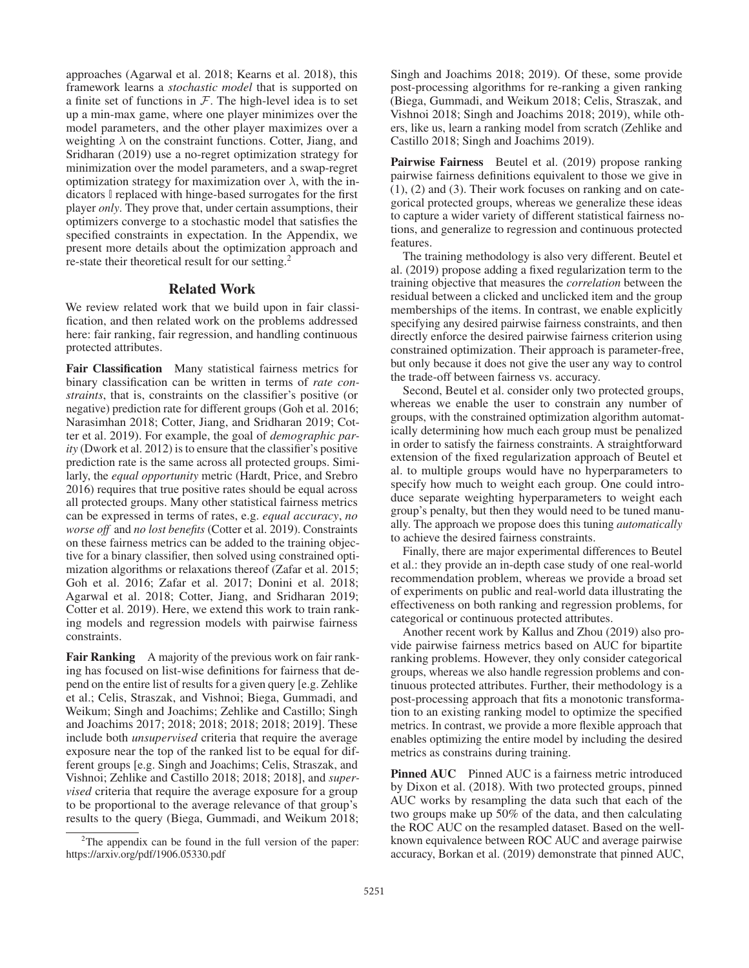approaches (Agarwal et al. 2018; Kearns et al. 2018), this framework learns a *stochastic model* that is supported on a finite set of functions in  $F$ . The high-level idea is to set up a min-max game, where one player minimizes over the model parameters, and the other player maximizes over a weighting  $\lambda$  on the constraint functions. Cotter, Jiang, and Sridharan (2019) use a no-regret optimization strategy for minimization over the model parameters, and a swap-regret optimization strategy for maximization over  $\lambda$ , with the indicators **I** replaced with hinge-based surrogates for the first player *only*. They prove that, under certain assumptions, their optimizers converge to a stochastic model that satisfies the specified constraints in expectation. In the Appendix, we present more details about the optimization approach and re-state their theoretical result for our setting.2

#### Related Work

We review related work that we build upon in fair classification, and then related work on the problems addressed here: fair ranking, fair regression, and handling continuous protected attributes.

Fair Classification Many statistical fairness metrics for binary classification can be written in terms of *rate constraints*, that is, constraints on the classifier's positive (or negative) prediction rate for different groups (Goh et al. 2016; Narasimhan 2018; Cotter, Jiang, and Sridharan 2019; Cotter et al. 2019). For example, the goal of *demographic parity* (Dwork et al. 2012) is to ensure that the classifier's positive prediction rate is the same across all protected groups. Similarly, the *equal opportunity* metric (Hardt, Price, and Srebro 2016) requires that true positive rates should be equal across all protected groups. Many other statistical fairness metrics can be expressed in terms of rates, e.g. *equal accuracy*, *no worse off* and *no lost benefits* (Cotter et al. 2019). Constraints on these fairness metrics can be added to the training objective for a binary classifier, then solved using constrained optimization algorithms or relaxations thereof (Zafar et al. 2015; Goh et al. 2016; Zafar et al. 2017; Donini et al. 2018; Agarwal et al. 2018; Cotter, Jiang, and Sridharan 2019; Cotter et al. 2019). Here, we extend this work to train ranking models and regression models with pairwise fairness constraints.

Fair Ranking A majority of the previous work on fair ranking has focused on list-wise definitions for fairness that depend on the entire list of results for a given query [e.g. Zehlike et al.; Celis, Straszak, and Vishnoi; Biega, Gummadi, and Weikum; Singh and Joachims; Zehlike and Castillo; Singh and Joachims 2017; 2018; 2018; 2018; 2018; 2019]. These include both *unsupervised* criteria that require the average exposure near the top of the ranked list to be equal for different groups [e.g. Singh and Joachims; Celis, Straszak, and Vishnoi; Zehlike and Castillo 2018; 2018; 2018], and *supervised* criteria that require the average exposure for a group to be proportional to the average relevance of that group's results to the query (Biega, Gummadi, and Weikum 2018;

Singh and Joachims 2018; 2019). Of these, some provide post-processing algorithms for re-ranking a given ranking (Biega, Gummadi, and Weikum 2018; Celis, Straszak, and Vishnoi 2018; Singh and Joachims 2018; 2019), while others, like us, learn a ranking model from scratch (Zehlike and Castillo 2018; Singh and Joachims 2019).

Pairwise Fairness Beutel et al. (2019) propose ranking pairwise fairness definitions equivalent to those we give in (1), (2) and (3). Their work focuses on ranking and on categorical protected groups, whereas we generalize these ideas to capture a wider variety of different statistical fairness notions, and generalize to regression and continuous protected features.

The training methodology is also very different. Beutel et al. (2019) propose adding a fixed regularization term to the training objective that measures the *correlation* between the residual between a clicked and unclicked item and the group memberships of the items. In contrast, we enable explicitly specifying any desired pairwise fairness constraints, and then directly enforce the desired pairwise fairness criterion using constrained optimization. Their approach is parameter-free, but only because it does not give the user any way to control the trade-off between fairness vs. accuracy.

Second, Beutel et al. consider only two protected groups, whereas we enable the user to constrain any number of groups, with the constrained optimization algorithm automatically determining how much each group must be penalized in order to satisfy the fairness constraints. A straightforward extension of the fixed regularization approach of Beutel et al. to multiple groups would have no hyperparameters to specify how much to weight each group. One could introduce separate weighting hyperparameters to weight each group's penalty, but then they would need to be tuned manually. The approach we propose does this tuning *automatically* to achieve the desired fairness constraints.

Finally, there are major experimental differences to Beutel et al.: they provide an in-depth case study of one real-world recommendation problem, whereas we provide a broad set of experiments on public and real-world data illustrating the effectiveness on both ranking and regression problems, for categorical or continuous protected attributes.

Another recent work by Kallus and Zhou (2019) also provide pairwise fairness metrics based on AUC for bipartite ranking problems. However, they only consider categorical groups, whereas we also handle regression problems and continuous protected attributes. Further, their methodology is a post-processing approach that fits a monotonic transformation to an existing ranking model to optimize the specified metrics. In contrast, we provide a more flexible approach that enables optimizing the entire model by including the desired metrics as constrains during training.

Pinned AUC Pinned AUC is a fairness metric introduced by Dixon et al. (2018). With two protected groups, pinned AUC works by resampling the data such that each of the two groups make up 50% of the data, and then calculating the ROC AUC on the resampled dataset. Based on the wellknown equivalence between ROC AUC and average pairwise accuracy, Borkan et al. (2019) demonstrate that pinned AUC,

 $2$ The appendix can be found in the full version of the paper: https://arxiv.org/pdf/1906.05330.pdf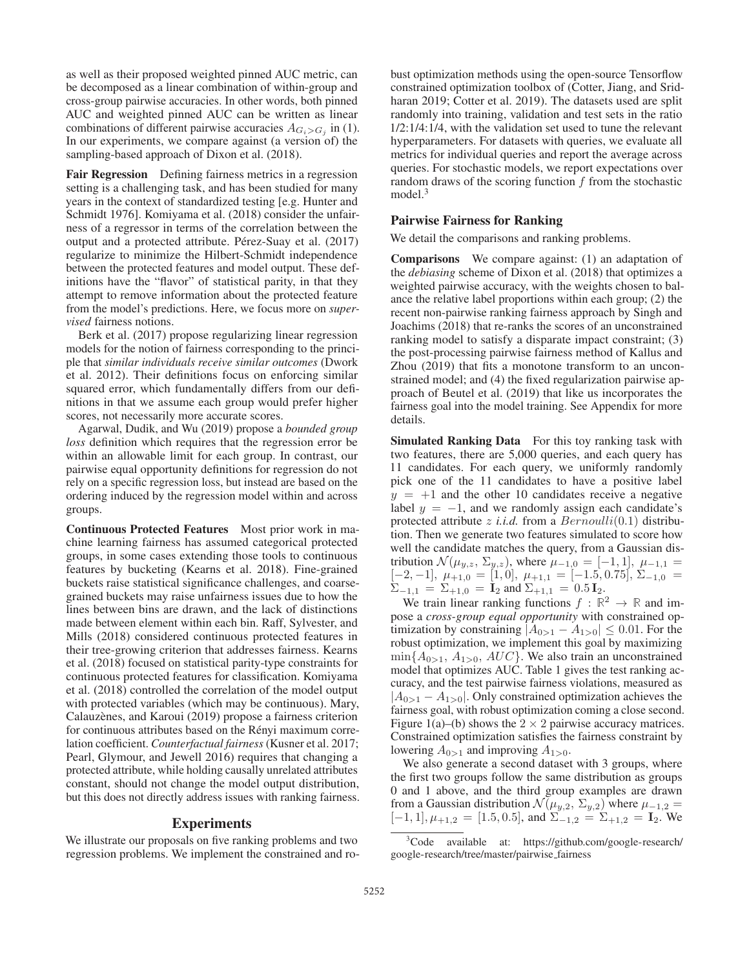as well as their proposed weighted pinned AUC metric, can be decomposed as a linear combination of within-group and cross-group pairwise accuracies. In other words, both pinned AUC and weighted pinned AUC can be written as linear combinations of different pairwise accuracies  $A_{G_i > G_j}$  in (1). In our experiments, we compare against (a version of) the sampling-based approach of Dixon et al. (2018).

Fair Regression Defining fairness metrics in a regression setting is a challenging task, and has been studied for many years in the context of standardized testing [e.g. Hunter and Schmidt 1976]. Komiyama et al. (2018) consider the unfairness of a regressor in terms of the correlation between the output and a protected attribute. Pérez-Suay et al. (2017) regularize to minimize the Hilbert-Schmidt independence between the protected features and model output. These definitions have the "flavor" of statistical parity, in that they attempt to remove information about the protected feature from the model's predictions. Here, we focus more on *supervised* fairness notions.

Berk et al. (2017) propose regularizing linear regression models for the notion of fairness corresponding to the principle that *similar individuals receive similar outcomes* (Dwork et al. 2012). Their definitions focus on enforcing similar squared error, which fundamentally differs from our definitions in that we assume each group would prefer higher scores, not necessarily more accurate scores.

Agarwal, Dudik, and Wu (2019) propose a *bounded group loss* definition which requires that the regression error be within an allowable limit for each group. In contrast, our pairwise equal opportunity definitions for regression do not rely on a specific regression loss, but instead are based on the ordering induced by the regression model within and across groups.

Continuous Protected Features Most prior work in machine learning fairness has assumed categorical protected groups, in some cases extending those tools to continuous features by bucketing (Kearns et al. 2018). Fine-grained buckets raise statistical significance challenges, and coarsegrained buckets may raise unfairness issues due to how the lines between bins are drawn, and the lack of distinctions made between element within each bin. Raff, Sylvester, and Mills (2018) considered continuous protected features in their tree-growing criterion that addresses fairness. Kearns et al. (2018) focused on statistical parity-type constraints for continuous protected features for classification. Komiyama et al. (2018) controlled the correlation of the model output with protected variables (which may be continuous). Mary, Calauzènes, and Karoui (2019) propose a fairness criterion for continuous attributes based on the Rényi maximum correlation coefficient. *Counterfactual fairness* (Kusner et al. 2017; Pearl, Glymour, and Jewell 2016) requires that changing a protected attribute, while holding causally unrelated attributes constant, should not change the model output distribution, but this does not directly address issues with ranking fairness.

#### Experiments

We illustrate our proposals on five ranking problems and two regression problems. We implement the constrained and ro-

bust optimization methods using the open-source Tensorflow constrained optimization toolbox of (Cotter, Jiang, and Sridharan 2019; Cotter et al. 2019). The datasets used are split randomly into training, validation and test sets in the ratio 1/2:1/4:1/4, with the validation set used to tune the relevant hyperparameters. For datasets with queries, we evaluate all metrics for individual queries and report the average across queries. For stochastic models, we report expectations over random draws of the scoring function  $f$  from the stochastic model.<sup>3</sup>

### Pairwise Fairness for Ranking

We detail the comparisons and ranking problems.

Comparisons We compare against: (1) an adaptation of the *debiasing* scheme of Dixon et al. (2018) that optimizes a weighted pairwise accuracy, with the weights chosen to balance the relative label proportions within each group; (2) the recent non-pairwise ranking fairness approach by Singh and Joachims (2018) that re-ranks the scores of an unconstrained ranking model to satisfy a disparate impact constraint; (3) the post-processing pairwise fairness method of Kallus and Zhou (2019) that fits a monotone transform to an unconstrained model; and (4) the fixed regularization pairwise approach of Beutel et al. (2019) that like us incorporates the fairness goal into the model training. See Appendix for more details.

Simulated Ranking Data For this toy ranking task with two features, there are 5,000 queries, and each query has 11 candidates. For each query, we uniformly randomly pick one of the 11 candidates to have a positive label  $y = +1$  and the other 10 candidates receive a negative label  $y = -1$ , and we randomly assign each candidate's protected attribute *z i.i.d.* from a  $Bernoulli(0.1)$  distribution. Then we generate two features simulated to score how well the candidate matches the query, from a Gaussian distribution  $\mathcal{N}(\mu_{y,z}, \Sigma_{y,z})$ , where  $\mu_{-1,0} = [-1,1], \mu_{-1,1} =$  $[-2, -1], \mu_{+1,0} = [1, 0], \mu_{+1,1} = [-1.5, 0.75], \Sigma_{-1,0} =$  $\Sigma_{-1,1} = \Sigma_{+1,0} = \mathbf{I}_2$  and  $\Sigma_{+1,1} = 0.5 \mathbf{I}_2$ .

We train linear ranking functions  $f : \mathbb{R}^2 \to \mathbb{R}$  and impose a *cross-group equal opportunity* with constrained optimization by constraining  $|A_{0>1} - A_{1>0}| \leq 0.01$ . For the robust optimization, we implement this goal by maximizing  $\min\{A_{0>1}, A_{1>0}, AUC\}$ . We also train an unconstrained model that optimizes AUC. Table 1 gives the test ranking accuracy, and the test pairwise fairness violations, measured as  $|A_{0>1} - A_{1>0}|$ . Only constrained optimization achieves the fairness goal, with robust optimization coming a close second. Figure 1(a)–(b) shows the  $2 \times 2$  pairwise accuracy matrices. Constrained optimization satisfies the fairness constraint by lowering  $A_{0>1}$  and improving  $A_{1>0}$ .

We also generate a second dataset with 3 groups, where the first two groups follow the same distribution as groups 0 and 1 above, and the third group examples are drawn from a Gaussian distribution  $\mathcal{N}(\mu_{y,2}, \Sigma_{y,2})$  where  $\mu_{-1,2} =$  $[-1, 1], \mu_{+1,2} = [1.5, 0.5],$  and  $\Sigma_{-1,2} = \Sigma_{+1,2} = I_2$ . We

<sup>&</sup>lt;sup>3</sup>Code available at: https://github.com/google-research/ google-research/tree/master/pairwise fairness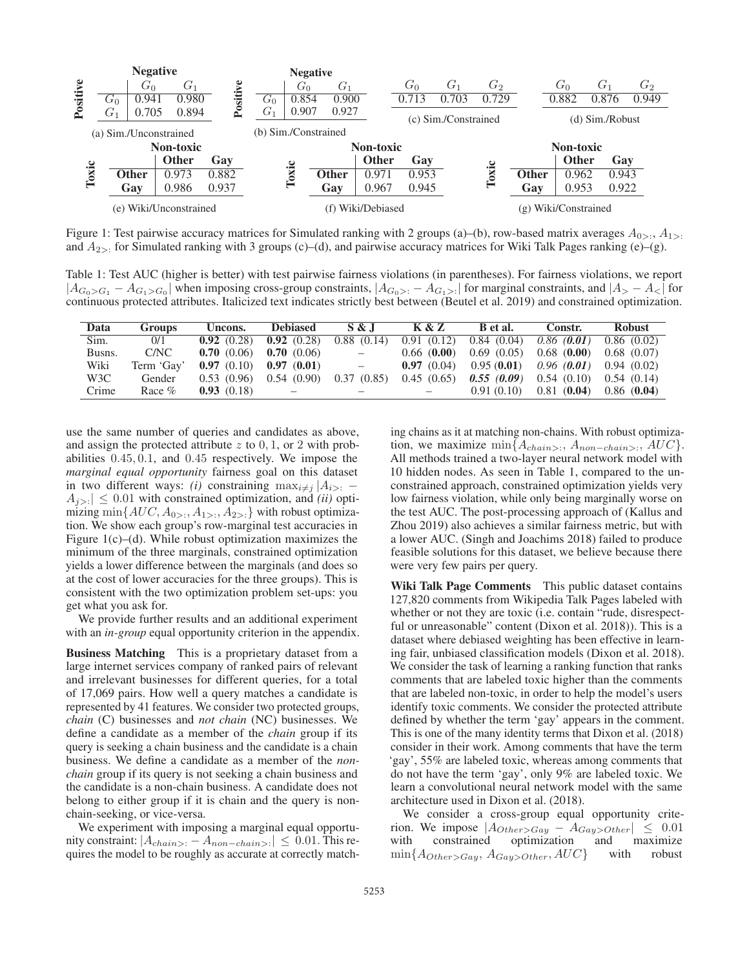

Figure 1: Test pairwise accuracy matrices for Simulated ranking with 2 groups (a)–(b), row-based matrix averages  $A_{0>}\,$ ;  $A_{1>}$ : and  $A_{2>}$ : for Simulated ranking with 3 groups (c)–(d), and pairwise accuracy matrices for Wiki Talk Pages ranking (e)–(g).

Table 1: Test AUC (higher is better) with test pairwise fairness violations (in parentheses). For fairness violations, we report  $|A_{G_0>G_1} - A_{G_1>G_0}|$  when imposing cross-group constraints,  $|A_{G_0>G} - A_{G_1G}|\$  for marginal constraints, and  $|A_2 - A_1|\$  for continuous protected attributes. Italicized text indicates strictly best between (Beutel et al. 2019) and constrained optimization.

| Data   | <b>Groups</b> | Uncons.    | <b>Debiased</b> | S & J                    | <b>K &amp; Z</b> | B et al.   | Constr.    | <b>Robust</b> |
|--------|---------------|------------|-----------------|--------------------------|------------------|------------|------------|---------------|
| Sim.   | 0/1           | 0.92(0.28) | 0.92(0.28)      | 0.88(0.14)               | 0.91(0.12)       | 0.84(0.04) | 0.86(0.01) | 0.86(0.02)    |
| Busns. | C/NC          | 0.70(0.06) | 0.70(0.06)      | $\qquad \qquad -$        | 0.66(0.00)       | 0.69(0.05) | 0.68(0.00) | 0.68(0.07)    |
| Wiki   | Term 'Gay'    | 0.97(0.10) | 0.97(0.01)      | $\overline{\phantom{a}}$ | 0.97(0.04)       | 0.95(0.01) | 0.96(0.01) | 0.94(0.02)    |
| W3C    | Gender        | 0.53(0.96) | 0.54(0.90)      | 0.37(0.85)               | 0.45(0.65)       | 0.55(0.09) | 0.54(0.10) | 0.54(0.14)    |
| Crime  | Race $%$      | 0.93(0.18) |                 |                          |                  | 0.91(0.10) | 0.81(0.04) | 0.86(0.04)    |

use the same number of queries and candidates as above, and assign the protected attribute  $z$  to  $0, 1$ , or  $2$  with probabilities 0.45, 0.1, and 0.45 respectively. We impose the *marginal equal opportunity* fairness goal on this dataset in two different ways: *(i)* constraining  $\max_{i \neq j} |A_{i>}|$ .  $A_{i>}$   $\leq$  0.01 with constrained optimization, and *(ii)* optimizing min $\{AUC, A_{0>}$ ;  $A_{1>}$ ;  $A_{2>}$ ; with robust optimization. We show each group's row-marginal test accuracies in Figure  $1(c)$ –(d). While robust optimization maximizes the minimum of the three marginals, constrained optimization yields a lower difference between the marginals (and does so at the cost of lower accuracies for the three groups). This is consistent with the two optimization problem set-ups: you get what you ask for.

We provide further results and an additional experiment with an *in-group* equal opportunity criterion in the appendix.

Business Matching This is a proprietary dataset from a large internet services company of ranked pairs of relevant and irrelevant businesses for different queries, for a total of 17,069 pairs. How well a query matches a candidate is represented by 41 features. We consider two protected groups, *chain* (C) businesses and *not chain* (NC) businesses. We define a candidate as a member of the *chain* group if its query is seeking a chain business and the candidate is a chain business. We define a candidate as a member of the *nonchain* group if its query is not seeking a chain business and the candidate is a non-chain business. A candidate does not belong to either group if it is chain and the query is nonchain-seeking, or vice-versa.

We experiment with imposing a marginal equal opportunity constraint:  $|A_{chain>} - A_{non-chain>}| \leq 0.01$ . This requires the model to be roughly as accurate at correctly matching chains as it at matching non-chains. With robust optimization, we maximize  $\min\{A_{chain}>, A_{non-chain}>, AUC\}.$ All methods trained a two-layer neural network model with 10 hidden nodes. As seen in Table 1, compared to the unconstrained approach, constrained optimization yields very low fairness violation, while only being marginally worse on the test AUC. The post-processing approach of (Kallus and Zhou 2019) also achieves a similar fairness metric, but with a lower AUC. (Singh and Joachims 2018) failed to produce feasible solutions for this dataset, we believe because there were very few pairs per query.

Wiki Talk Page Comments This public dataset contains 127,820 comments from Wikipedia Talk Pages labeled with whether or not they are toxic (i.e. contain "rude, disrespectful or unreasonable" content (Dixon et al. 2018)). This is a dataset where debiased weighting has been effective in learning fair, unbiased classification models (Dixon et al. 2018). We consider the task of learning a ranking function that ranks comments that are labeled toxic higher than the comments that are labeled non-toxic, in order to help the model's users identify toxic comments. We consider the protected attribute defined by whether the term 'gay' appears in the comment. This is one of the many identity terms that Dixon et al. (2018) consider in their work. Among comments that have the term 'gay', 55% are labeled toxic, whereas among comments that do not have the term 'gay', only 9% are labeled toxic. We learn a convolutional neural network model with the same architecture used in Dixon et al. (2018).

We consider a cross-group equal opportunity criterion. We impose  $|A_{Other>Gay} - A_{Gay>Other}| \leq 0.01$ <br>with constrained optimization and maximize with constrained optimization and maximize  $\min\{A_{Other> Gay}, A_{Gay>Other}, AUC\}$  with robust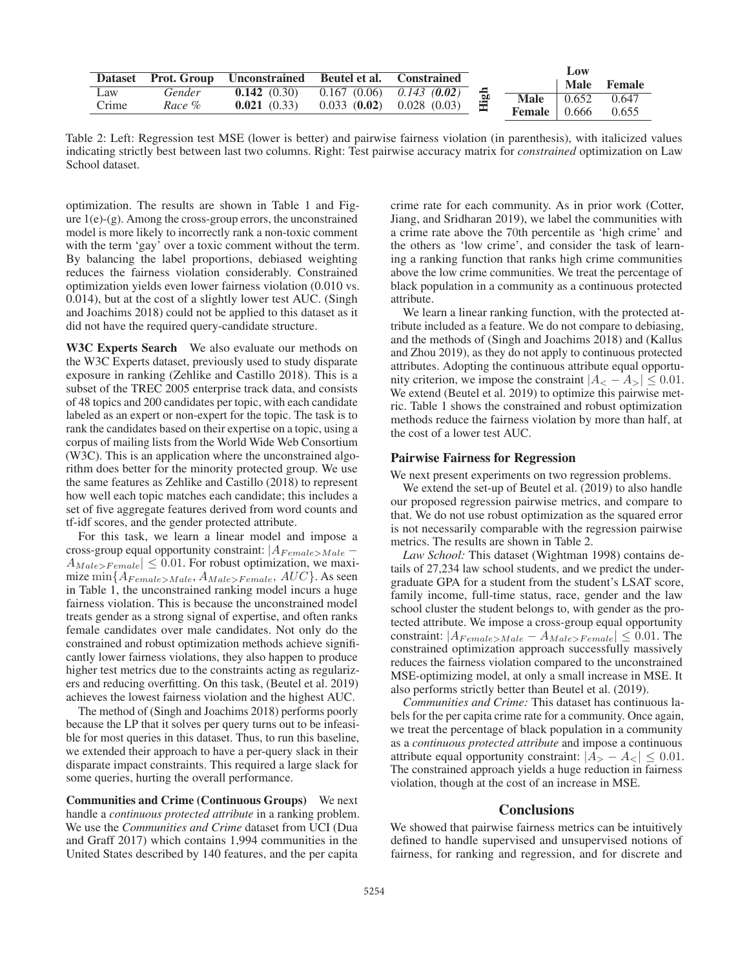|       |        | Dataset Prot. Group Unconstrained Beutel et al. Constrained |                                        |       |                          | Low<br>Male | Female |
|-------|--------|-------------------------------------------------------------|----------------------------------------|-------|--------------------------|-------------|--------|
| Law   | Gender | <b>0.142</b> (0.30) 0.167 (0.06) 0.143 (0.02)               |                                        | 은 은 문 | <b>Male</b> 0.652        |             | 0.647  |
| Crime | Race % | 0.021(0.33)                                                 | $0.033$ ( <b>0.02</b> ) $0.028$ (0.03) | 量     | <b>Female</b> $\,$ 0.666 |             | 0.655  |

Table 2: Left: Regression test MSE (lower is better) and pairwise fairness violation (in parenthesis), with italicized values indicating strictly best between last two columns. Right: Test pairwise accuracy matrix for *constrained* optimization on Law School dataset.

optimization. The results are shown in Table 1 and Figure  $1(e)$ -(g). Among the cross-group errors, the unconstrained model is more likely to incorrectly rank a non-toxic comment with the term 'gay' over a toxic comment without the term. By balancing the label proportions, debiased weighting reduces the fairness violation considerably. Constrained optimization yields even lower fairness violation (0.010 vs. 0.014), but at the cost of a slightly lower test AUC. (Singh and Joachims 2018) could not be applied to this dataset as it did not have the required query-candidate structure.

W3C Experts Search We also evaluate our methods on the W3C Experts dataset, previously used to study disparate exposure in ranking (Zehlike and Castillo 2018). This is a subset of the TREC 2005 enterprise track data, and consists of 48 topics and 200 candidates per topic, with each candidate labeled as an expert or non-expert for the topic. The task is to rank the candidates based on their expertise on a topic, using a corpus of mailing lists from the World Wide Web Consortium (W3C). This is an application where the unconstrained algorithm does better for the minority protected group. We use the same features as Zehlike and Castillo (2018) to represent how well each topic matches each candidate; this includes a set of five aggregate features derived from word counts and tf-idf scores, and the gender protected attribute.

For this task, we learn a linear model and impose a cross-group equal opportunity constraint:  $|A_{Female>Male} A_{Male > Female} \leq 0.01$ . For robust optimization, we maximize  $\min\{A_{Female>Male}, A_{Male>Female}, AUC\}$ . As seen in Table 1, the unconstrained ranking model incurs a huge fairness violation. This is because the unconstrained model treats gender as a strong signal of expertise, and often ranks female candidates over male candidates. Not only do the constrained and robust optimization methods achieve significantly lower fairness violations, they also happen to produce higher test metrics due to the constraints acting as regularizers and reducing overfitting. On this task, (Beutel et al. 2019) achieves the lowest fairness violation and the highest AUC.

The method of (Singh and Joachims 2018) performs poorly because the LP that it solves per query turns out to be infeasible for most queries in this dataset. Thus, to run this baseline, we extended their approach to have a per-query slack in their disparate impact constraints. This required a large slack for some queries, hurting the overall performance.

Communities and Crime (Continuous Groups) We next handle a *continuous protected attribute* in a ranking problem. We use the *Communities and Crime* dataset from UCI (Dua and Graff 2017) which contains 1,994 communities in the United States described by 140 features, and the per capita

crime rate for each community. As in prior work (Cotter, Jiang, and Sridharan 2019), we label the communities with a crime rate above the 70th percentile as 'high crime' and the others as 'low crime', and consider the task of learning a ranking function that ranks high crime communities above the low crime communities. We treat the percentage of black population in a community as a continuous protected attribute.

We learn a linear ranking function, with the protected attribute included as a feature. We do not compare to debiasing, and the methods of (Singh and Joachims 2018) and (Kallus and Zhou 2019), as they do not apply to continuous protected attributes. Adopting the continuous attribute equal opportunity criterion, we impose the constraint  $|A_{<} - A_{>}| \leq 0.01$ . We extend (Beutel et al. 2019) to optimize this pairwise metric. Table 1 shows the constrained and robust optimization methods reduce the fairness violation by more than half, at the cost of a lower test AUC.

#### Pairwise Fairness for Regression

We next present experiments on two regression problems.

We extend the set-up of Beutel et al. (2019) to also handle our proposed regression pairwise metrics, and compare to that. We do not use robust optimization as the squared error is not necessarily comparable with the regression pairwise metrics. The results are shown in Table 2.

*Law School:* This dataset (Wightman 1998) contains details of 27,234 law school students, and we predict the undergraduate GPA for a student from the student's LSAT score, family income, full-time status, race, gender and the law school cluster the student belongs to, with gender as the protected attribute. We impose a cross-group equal opportunity constraint:  $|A_{Female>Male} - A_{Male>Female}| \leq 0.01$ . The constrained optimization approach successfully massively reduces the fairness violation compared to the unconstrained MSE-optimizing model, at only a small increase in MSE. It also performs strictly better than Beutel et al. (2019).

*Communities and Crime:* This dataset has continuous labels for the per capita crime rate for a community. Once again, we treat the percentage of black population in a community as a *continuous protected attribute* and impose a continuous attribute equal opportunity constraint:  $|A_{>} - A_{<}| \leq 0.01$ . The constrained approach yields a huge reduction in fairness violation, though at the cost of an increase in MSE.

# **Conclusions**

We showed that pairwise fairness metrics can be intuitively defined to handle supervised and unsupervised notions of fairness, for ranking and regression, and for discrete and